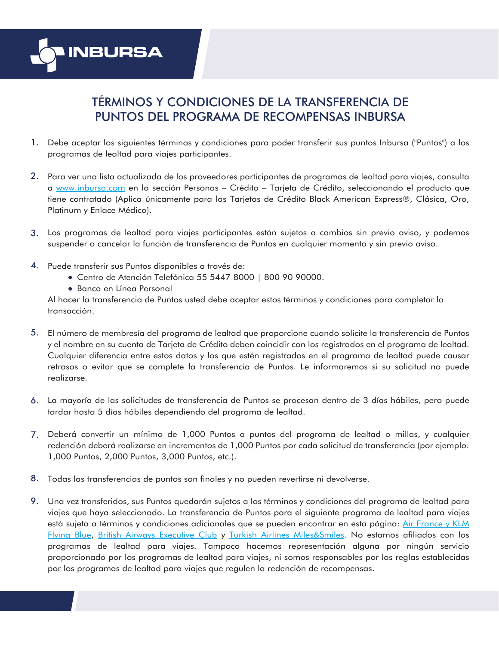

## TÉRMINOS Y CONDICIONES DE LA TRANSFERENCIA DE PUNTOS DEL PROGRAMA DE RECOMPENSAS INBURSA

- 1. Debe aceptar los siguientes términos y condiciones para poder transferir sus puntos Inbursa ("Puntos") a los programas de lealtad para viajes participantes.
- Para ver una lista actualizada de los proveedores participantes de programas de lealtad para viajes, consulta 2. a [www.inbursa.com](https://www.inbursa.com/portal/) en la sección Personas – Crédito – Tarjeta de Crédito, seleccionando el producto que tiene contratado (Aplica únicamente para las Tarjetas de Crédito Black American Express®, Clásica, Oro, Platinum y Enlace Médico).
- Los programas de lealtad para viajes participantes están sujetos a cambios sin previo aviso, y podemos 3. suspender o cancelar la función de transferencia de Puntos en cualquier momento y sin previo aviso.
- 4. Puede transferir sus Puntos disponibles a través de:
	- Centro de Atención Telefónica 55 5447 8000 | 800 90 90000.
	- Banca en Línea Personal

Al hacer la transferencia de Puntos usted debe aceptar estos términos y condiciones para completar la transacción.

- El número de membresía del programa de lealtad que proporcione cuando solicite la transferencia de Puntos 5. y el nombre en su cuenta de Tarjeta de Crédito deben coincidir con los registrados en el programa de lealtad. Cualquier diferencia entre estos datos y los que estén registrados en el programa de lealtad puede causar retrasos o evitar que se complete la transferencia de Puntos. Le informaremos si su solicitud no puede realizarse.
- La mayoría de las solicitudes de transferencia de Puntos se procesan dentro de 3 días hábiles, pero puede 6. tardar hasta 5 días hábiles dependiendo del programa de lealtad.
- Deberá convertir un mínimo de 1,000 Puntos a puntos del programa de lealtad o millas, y cualquier 7. redención deberá realizarse en incrementos de 1,000 Puntos por cada solicitud de transferencia (por ejemplo: 1,000 Puntos, 2,000 Puntos, 3,000 Puntos, etc.).
- Todas las transferencias de puntos son finales y no pueden revertirse ni devolverse. 8.
- Una vez transferidos, sus Puntos quedarán sujetos a los términos y condiciones del programa de lealtad para 9.viajes que haya seleccionado. La transferencia de Puntos para el siguiente programa de lealtad para viajes está sujeta a términos y condiciones adicionales que se pueden encontrar en esta página: Air France y KLM [Flying Blue,](https://www.loyalty-program-terms.com/tc-001-flyingblue-transfer-terms) [British Airways Executive Club](https://www.loyalty-program-terms.com/tc-005-baec-terms) y [Turkish Airlines Miles&Smiles.](https://www.turkishairlines.com/en-us/miles-and-smiles/terms-and-conditions/) No estamos afiliados con los programas de lealtad para viajes. Tampoco hacemos representación alguna por ningún servicio proporcionado por los programas de lealtad para viajes, ni somos responsables por las reglas establecidas por los programas de lealtad para viajes que regulen la redención de recompensas.